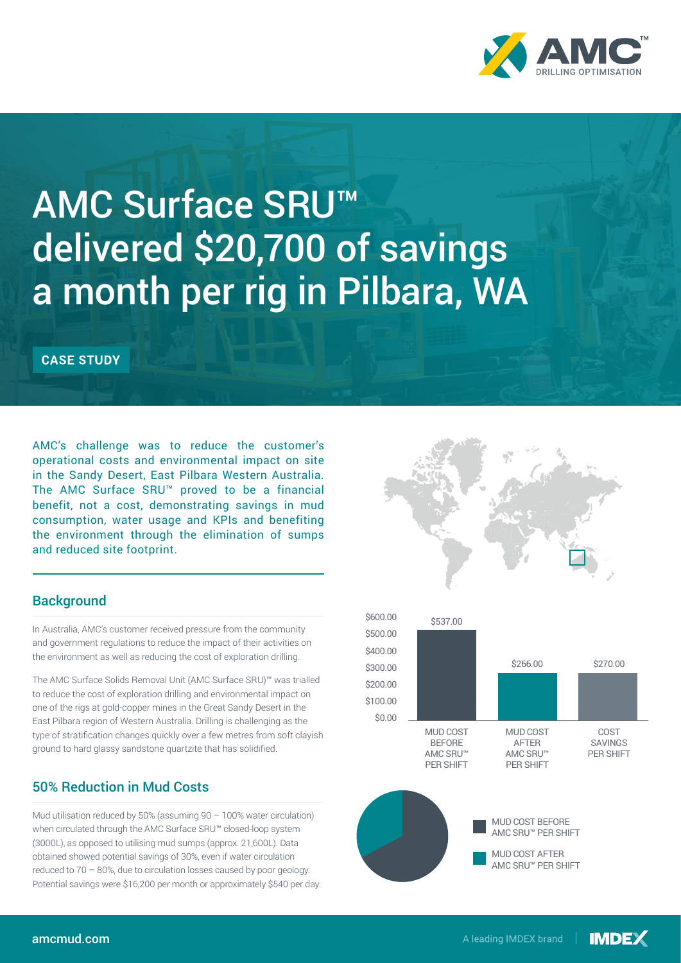

# AMC Surface SRU™ delivered \$20,700 of savings a month per rig in Pilbara, WA

**CASE STUDY** 

AMC's challenge was to reduce the customer's operational costs and environmental impact on site in the Sandy Desert, East Pilbara Western Australia. The AMC Surface SRU™ proved to be a financial benefit, not a cost, demonstrating savings in mud consumption, water usage and KPIs and benefiting the environment through the elimination of sumps and reduced site footprint.

## **Background**

In Australia, AMC's customer received pressure from the community and government regulations to reduce the impact of their activities on the environment as well as reducing the cost of exploration drilling.

The AMC Surface Solids Removal Unit (AMC Surface SRU)™ was trialled to reduce the cost of exploration drilling and environmental impact on one of the rigs at gold-copper mines in the Great Sandy Desert in the East Pilbara region of Western Australia. Drilling is challenging as the type of stratification changes quickly over a few metres from soft clayish ground to hard glassy sandstone quartzite that has solidified.

## 50% Reduction in Mud Costs

Mud utilisation reduced by 50% (assuming 90 – 100% water circulation) when circulated through the AMC Surface SRU™ closed-loop system (3000L), as opposed to utilising mud sumps (approx. 21,600L). Data obtained showed potential savings of 30%, even if water circulation ooco odi Potential savings were \$16,200 per month or approximately \$540 per day.<br>reduced to 70 – 80%, due to circulation losses caused by poor geology.



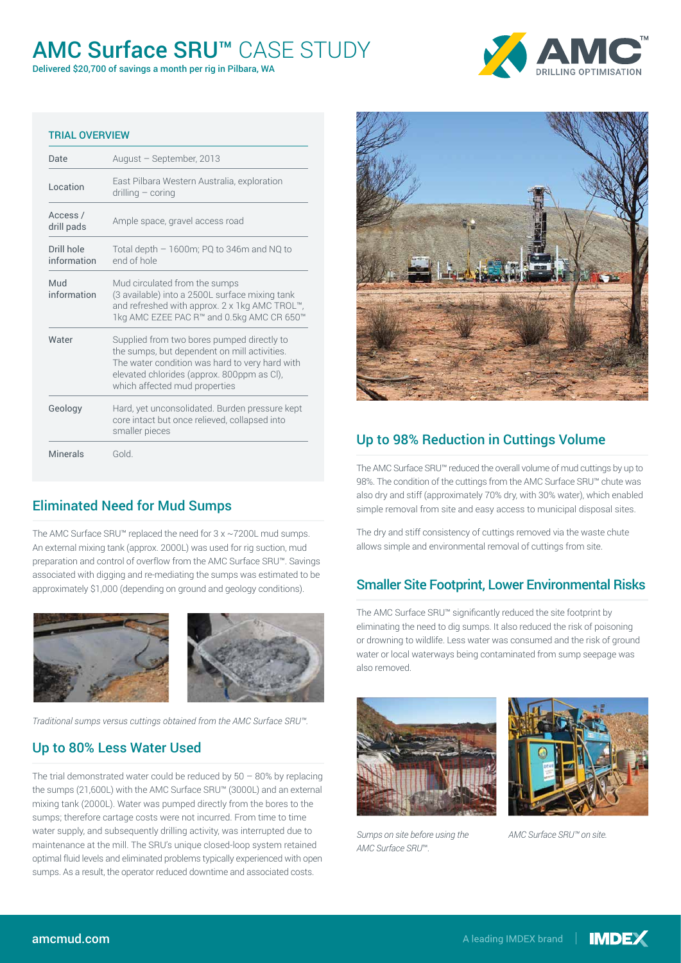## AMC Surface SRU™ CASE STUDY

Delivered \$20,700 of savings a month per rig in Pilbara, WA



#### TRIAL OVERVIEW

| Date                      | August - September, 2013                                                                                                                                                                                                    |  |
|---------------------------|-----------------------------------------------------------------------------------------------------------------------------------------------------------------------------------------------------------------------------|--|
| Location                  | East Pilbara Western Australia, exploration<br>$drilling-coring$                                                                                                                                                            |  |
| Access /<br>drill pads    | Ample space, gravel access road                                                                                                                                                                                             |  |
| Drill hole<br>information | Total depth $-1600$ m; PQ to 346m and NQ to<br>end of hole                                                                                                                                                                  |  |
| Mud<br>information        | Mud circulated from the sumps<br>(3 available) into a 2500L surface mixing tank<br>and refreshed with approx. 2 x 1kg AMC TROL™,<br>1kg AMC EZEE PAC R™ and 0.5kg AMC CR 650™                                               |  |
| Water                     | Supplied from two bores pumped directly to<br>the sumps, but dependent on mill activities.<br>The water condition was hard to very hard with<br>elevated chlorides (approx. 800ppm as Cl),<br>which affected mud properties |  |
| Geology                   | Hard, yet unconsolidated. Burden pressure kept<br>core intact but once relieved, collapsed into<br>smaller pieces                                                                                                           |  |
| Minerals                  | Gold.                                                                                                                                                                                                                       |  |
|                           |                                                                                                                                                                                                                             |  |

## Eliminated Need for Mud Sumps

The AMC Surface SRU™ replaced the need for 3 x ~7200L mud sumps. An external mixing tank (approx. 2000L) was used for rig suction, mud preparation and control of overflow from the AMC Surface SRU™. Savings associated with digging and re-mediating the sumps was estimated to be approximately \$1,000 (depending on ground and geology conditions).



*Traditional sumps versus cuttings obtained from the AMC Surface SRU™.*

## Up to 80% Less Water Used

mixing tank (2000L). Water was pumped directly from the bores to the perth, Australia of an asystem and the method of the method of announced the common of the sum of the supply, and subsequently drilling activity, was interrupted due to maintenance at the mill. The SRU's unique closed-loop system retained optimal fluid levels and eliminated problems typically experienced with open sumps. As a result, the operator reduced downtime and associated costs. The trial demonstrated water could be reduced by  $50 - 80\%$  by replacing the sumps (21,600L) with the AMC Surface SRU™ (3000L) and an external sumps; therefore cartage costs were not incurred. From time to time



## Up to 98% Reduction in Cuttings Volume

The AMC Surface SRU™ reduced the overall volume of mud cuttings by up to 98%. The condition of the cuttings from the AMC Surface SRU™ chute was also dry and stiff (approximately 70% dry, with 30% water), which enabled simple removal from site and easy access to municipal disposal sites.

The dry and stiff consistency of cuttings removed via the waste chute allows simple and environmental removal of cuttings from site.

## Smaller Site Footprint, Lower Environmental Risks

The AMC Surface SRU™ significantly reduced the site footprint by eliminating the need to dig sumps. It also reduced the risk of poisoning or drowning to wildlife. Less water was consumed and the risk of ground water or local waterways being contaminated from sump seepage was also removed.





Sumps on site before using the *AMC Surface SRU*™*.*

T +1 403 259 5112 *AMC Surface SRU™ on site.*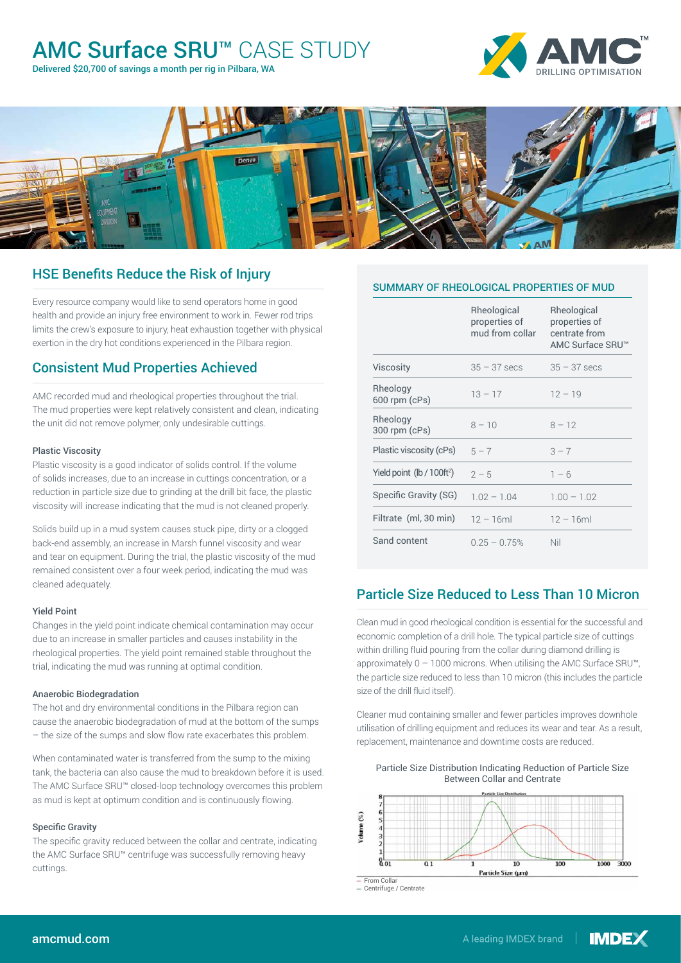## AMC Surface SRU™ CASE STUDY

Delivered \$20,700 of savings a month per rig in Pilbara, WA





## HSE Benefits Reduce the Risk of Injury

Every resource company would like to send operators home in good health and provide an injury free environment to work in. Fewer rod trips limits the crew's exposure to injury, heat exhaustion together with physical exertion in the dry hot conditions experienced in the Pilbara region.

## Consistent Mud Properties Achieved

AMC recorded mud and rheological properties throughout the trial. The mud properties were kept relatively consistent and clean, indicating the unit did not remove polymer, only undesirable cuttings.

#### Plastic Viscosity

Plastic viscosity is a good indicator of solids control. If the volume of solids increases, due to an increase in cuttings concentration, or a reduction in particle size due to grinding at the drill bit face, the plastic viscosity will increase indicating that the mud is not cleaned properly.

Solids build up in a mud system causes stuck pipe, dirty or a clogged back-end assembly, an increase in Marsh funnel viscosity and wear and tear on equipment. During the trial, the plastic viscosity of the mud remained consistent over a four week period, indicating the mud was cleaned adequately.

#### Yield Point

Changes in the yield point indicate chemical contamination may occur due to an increase in smaller particles and causes instability in the rheological properties. The yield point remained stable throughout the trial, indicating the mud was running at optimal condition.

#### Anaerobic Biodegradation

The hot and dry environmental conditions in the Pilbara region can cause the anaerobic biodegradation of mud at the bottom of the sumps – the size of the sumps and slow flow rate exacerbates this problem.

as mud is kept at optimum condition and is continuously flowing.<br>. When contaminated water is transferred from the sump to the mixing tank, the bacteria can also cause the mud to breakdown before it is used. The AMC Surface SRU™ closed-loop technology overcomes this problem

#### Specific Gravity

The specific gravity reduced between the collar and centrate, indicating the AMC Surface SRU™ centrifuge was successfully removing heavy<br>... cuttings.

|                               | Rheological<br>properties of<br>mud from collar | Rheological<br>properties of<br>centrate from<br>AMC Surface SRU™ |
|-------------------------------|-------------------------------------------------|-------------------------------------------------------------------|
| Viscosity                     | $35 - 37$ secs                                  | $35 - 37$ secs                                                    |
| Rheology<br>$600$ rpm $(cPs)$ | $13 - 17$                                       | $12 - 19$                                                         |
| Rheology<br>$300$ rpm (cPs)   | $8 - 10$                                        | $8 - 12$                                                          |
| Plastic viscosity (cPs)       | $5 - 7$                                         | $3 - 7$                                                           |
| Yield point $(lb / 100ft^2)$  | $2 - 5$                                         | $1 - 6$                                                           |
| Specific Gravity (SG)         | $1.02 - 1.04$                                   | $1.00 - 1.02$                                                     |
| Filtrate (ml, 30 min)         | $12 - 16ml$                                     | $12 - 16ml$                                                       |
| Sand content                  | $0.25 - 0.75%$                                  | Nil                                                               |

## Particle Size Reduced to Less Than 10 Micron

Clean mud in good rheological condition is essential for the successful and economic completion of a drill hole. The typical particle size of cuttings within drilling fluid pouring from the collar during diamond drilling is approximately  $0 - 1000$  microns. When utilising the AMC Surface SRU<sup>™</sup>, the particle size reduced to less than 10 micron (this includes the particle size of the drill fluid itself).

Cleaner mud containing smaller and fewer particles improves downhole utilisation of drilling equipment and reduces its wear and tear. As a result, replacement, maintenance and downtime costs are reduced.

Particle Size Distribution Indicating Reduction of Particle Size



Centrifuge / Centrate